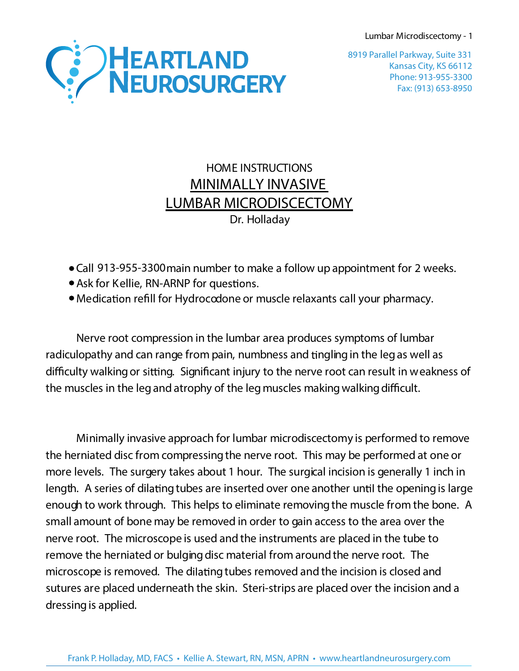Lumbar Microdiscectomy - 1



Kansas City, KS 66112 Phone: 913-955-3300 Fax: (913) 653-8950 8919 Parallel Parkway, Suite 331

## HOME INSTRUCTIONS **MINIMALLY INVASIVE LUMBAR MICRODISCECTOMY** Dr. Holladay

- Call 913-955-3300 main number to make a follow up appointment for 2 weeks.
- Ask for Kellie, RN-ARNP for questions.
- Medication refill for Hydrocodone or muscle relaxants call your pharmacy.

Nerve root compression in the lumbar area produces symptoms of lumbar radiculopathy and can range from pain, numbness and tingling in the legas well as difficulty walking or sitting. Significant injury to the nerve root can result in weakness of the muscles in the leg and atrophy of the leg muscles making walking difficult.

Minimally invasive approach for lumbar microdiscectomy is performed to remove the herniated disc from compressing the nerve root. This may be performed at one or more levels. The surgery takes about 1 hour. The surgical incision is generally 1 inch in length. A series of dilating tubes are inserted over one another until the opening is large enough to work through. This helps to eliminate removing the muscle from the bone. A small amount of bone may be removed in order to gain access to the area over the nerve root. The microscope is used and the instruments are placed in the tube to remove the herniated or bulging disc material from around the nerve root. The microscope is removed. The dilating tubes removed and the incision is closed and sutures are placed underneath the skin. Steri-strips are placed over the incision and a dressing is applied.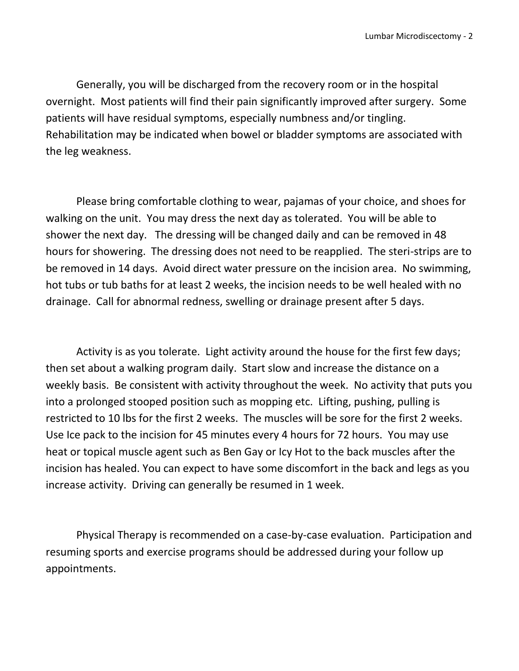Generally, you will be discharged from the recovery room or in the hospital overnight. Most patients will find their pain significantly improved after surgery. Some patients will have residual symptoms, especially numbness and/or tingling. Rehabilitation may be indicated when bowel or bladder symptoms are associated with the leg weakness.

Please bring comfortable clothing to wear, pajamas of your choice, and shoes for walking on the unit. You may dress the next day as tolerated. You will be able to shower the next day. The dressing will be changed daily and can be removed in 48 hours for showering. The dressing does not need to be reapplied. The steri-strips are to be removed in 14 days. Avoid direct water pressure on the incision area. No swimming, hot tubs or tub baths for at least 2 weeks, the incision needs to be well healed with no drainage. Call for abnormal redness, swelling or drainage present after 5 days.

Activity is as you tolerate. Light activity around the house for the first few days; then set about a walking program daily. Start slow and increase the distance on a weekly basis. Be consistent with activity throughout the week. No activity that puts you into a prolonged stooped position such as mopping etc. Lifting, pushing, pulling is restricted to 10 lbs for the first 2 weeks. The muscles will be sore for the first 2 weeks. Use Ice pack to the incision for 45 minutes every 4 hours for 72 hours. You may use heat or topical muscle agent such as Ben Gay or Icy Hot to the back muscles after the incision has healed. You can expect to have some discomfort in the back and legs as you increase activity. Driving can generally be resumed in 1 week.

Physical Therapy is recommended on a case-by-case evaluation. Participation and resuming sports and exercise programs should be addressed during your follow up appointments.